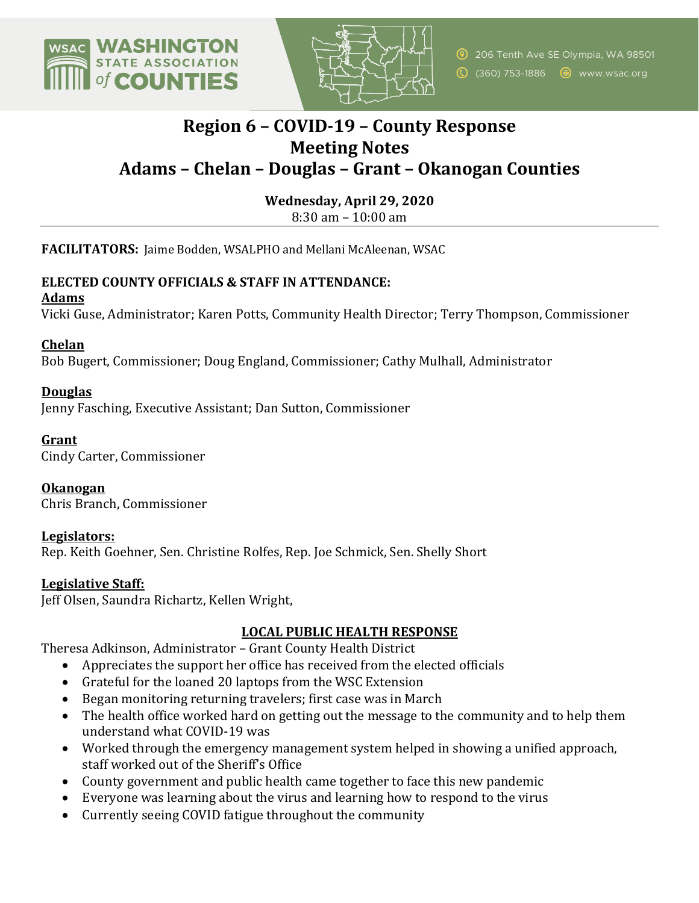



# **Region 6 – COVID-19 – County Response Meeting Notes Adams – Chelan – Douglas – Grant – Okanogan Counties**

**Wednesday, April 29, 2020**

 $8:30$  am  $-10:00$  am

**FACILITATORS:** Jaime Bodden, WSALPHO and Mellani McAleenan, WSAC

# **ELECTED COUNTY OFFICIALS & STAFF IN ATTENDANCE:**

**Adams**

Vicki Guse, Administrator; Karen Potts, Community Health Director; Terry Thompson, Commissioner

**Chelan**

Bob Bugert, Commissioner; Doug England, Commissioner; Cathy Mulhall, Administrator

# **Douglas**

Jenny Fasching, Executive Assistant; Dan Sutton, Commissioner

## **Grant**

Cindy Carter, Commissioner 

**Okanogan** Chris Branch, Commissioner 

#### **Legislators:**

Rep. Keith Goehner, Sen. Christine Rolfes, Rep. Joe Schmick, Sen. Shelly Short

#### **Legislative Staff:**

Jeff Olsen, Saundra Richartz, Kellen Wright,

# **LOCAL PUBLIC HEALTH RESPONSE**

Theresa Adkinson, Administrator - Grant County Health District

- Appreciates the support her office has received from the elected officials
- Grateful for the loaned 20 laptops from the WSC Extension
- Began monitoring returning travelers; first case was in March
- The health office worked hard on getting out the message to the community and to help them understand what COVID-19 was
- Worked through the emergency management system helped in showing a unified approach, staff worked out of the Sheriff's Office
- County government and public health came together to face this new pandemic
- Everyone was learning about the virus and learning how to respond to the virus
- Currently seeing COVID fatigue throughout the community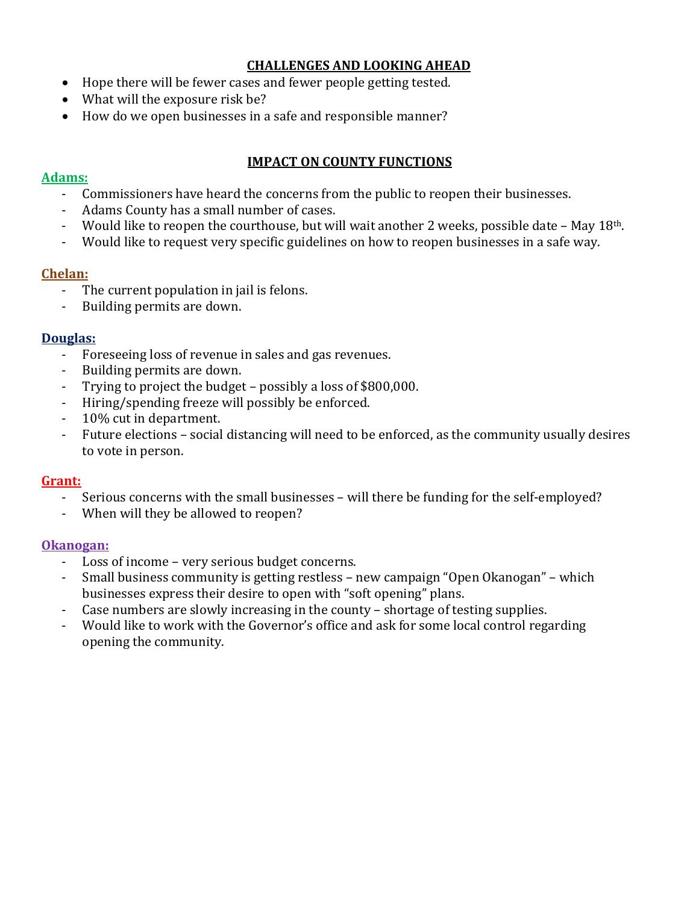# **CHALLENGES AND LOOKING AHEAD**

- Hope there will be fewer cases and fewer people getting tested.
- What will the exposure risk be?
- How do we open businesses in a safe and responsible manner?

### **IMPACT ON COUNTY FUNCTIONS**

### **Adams:**

- Commissioners have heard the concerns from the public to reopen their businesses.
- Adams County has a small number of cases.
- Would like to reopen the courthouse, but will wait another 2 weeks, possible date  $-$  May 18<sup>th</sup>.
- Would like to request very specific guidelines on how to reopen businesses in a safe way.

## **Chelan:**

- The current population in jail is felons.
- Building permits are down.

## **Douglas:**

- Foreseeing loss of revenue in sales and gas revenues.
- Building permits are down.
- Trying to project the budget  $-$  possibly a loss of \$800,000.
- Hiring/spending freeze will possibly be enforced.
- 10% cut in department.
- Future elections social distancing will need to be enforced, as the community usually desires to vote in person.

# **Grant:**

- Serious concerns with the small businesses will there be funding for the self-employed?
- When will they be allowed to reopen?

#### **Okanogan:**

- Loss of income very serious budget concerns.
- Small business community is getting restless new campaign "Open Okanogan" which businesses express their desire to open with "soft opening" plans.
- Case numbers are slowly increasing in the county shortage of testing supplies.
- Would like to work with the Governor's office and ask for some local control regarding opening the community.